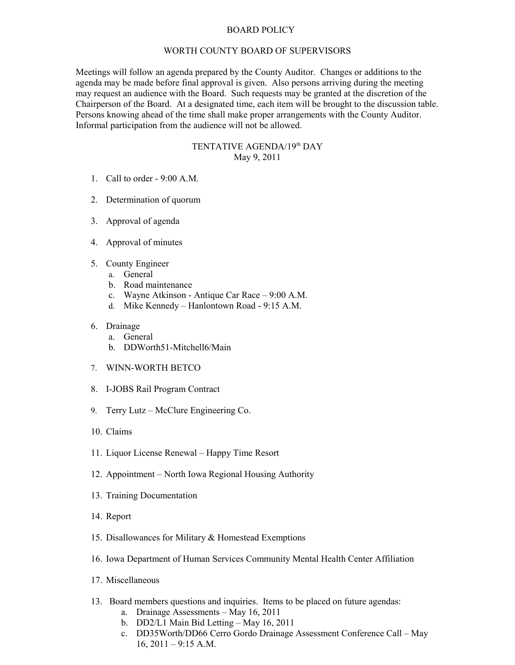## BOARD POLICY

## WORTH COUNTY BOARD OF SUPERVISORS

Meetings will follow an agenda prepared by the County Auditor. Changes or additions to the agenda may be made before final approval is given. Also persons arriving during the meeting may request an audience with the Board. Such requests may be granted at the discretion of the Chairperson of the Board. At a designated time, each item will be brought to the discussion table. Persons knowing ahead of the time shall make proper arrangements with the County Auditor. Informal participation from the audience will not be allowed.

## TENTATIVE AGENDA/19th DAY May 9, 2011

- 1. Call to order 9:00 A.M.
- 2. Determination of quorum
- 3. Approval of agenda
- 4. Approval of minutes
- 5. County Engineer
	- a. General
	- b. Road maintenance
	- c. Wayne Atkinson Antique Car Race 9:00 A.M.
	- d. Mike Kennedy Hanlontown Road 9:15 A.M.

## 6. Drainage

- a. General
- b. DDWorth51-Mitchell6/Main
- 7. WINN-WORTH BETCO
- 8. I-JOBS Rail Program Contract
- 9. Terry Lutz McClure Engineering Co.
- 10. Claims
- 11. Liquor License Renewal Happy Time Resort
- 12. Appointment North Iowa Regional Housing Authority
- 13. Training Documentation
- 14. Report
- 15. Disallowances for Military & Homestead Exemptions
- 16. Iowa Department of Human Services Community Mental Health Center Affiliation
- 17. Miscellaneous
- 13. Board members questions and inquiries. Items to be placed on future agendas:
	- a. Drainage Assessments May 16, 2011
	- b. DD2/L1 Main Bid Letting May 16, 2011
	- c. DD35Worth/DD66 Cerro Gordo Drainage Assessment Conference Call May  $16, 2011 - 9:15$  A.M.